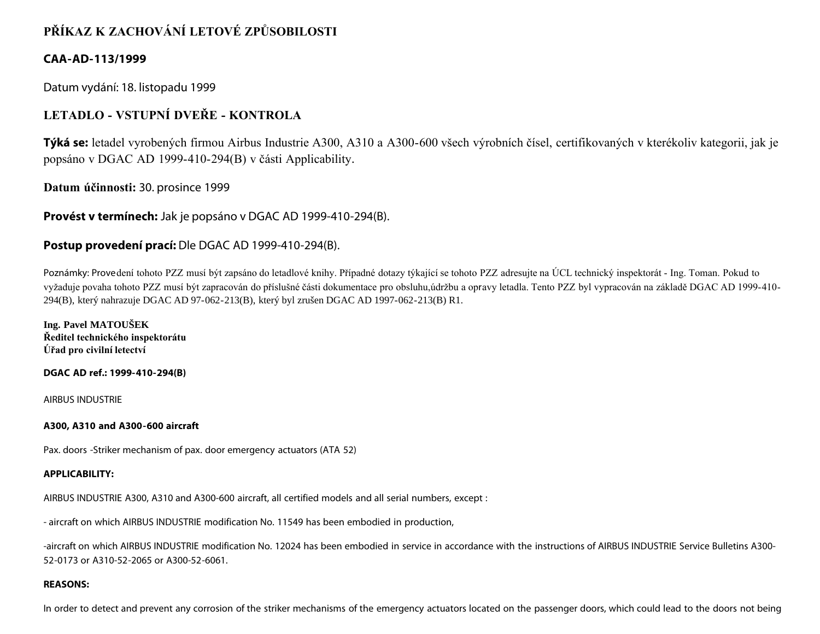# **PŘÍKAZ K ZACHOVÁNÍ LETOVÉ ZPŮSOBILOSTI**

## **CAA-AD-113/1999**

Datum vydání: 18. listopadu 1999

## **LETADLO - VSTUPNÍ DVEŘE - KONTROLA**

**Týká se:** letadel vyrobených firmou Airbus Industrie A300, A310 a A300-600 všech výrobních čísel, certifikovaných v kterékoliv kategorii, jak je popsáno v DGAC AD 1999-410-294(B) v části Applicability.

**Datum účinnosti:** 30. prosince 1999

**Provést v termínech:** Jak je popsáno v DGAC AD 1999-410-294(B).

### **Postup provedení prací:** Dle DGAC AD 1999-410-294(B).

Poznámky: Provedení tohoto PZZ musí být zapsáno do letadlové knihy. Případné dotazy týkající se tohoto PZZ adresujte na ÚCL technický inspektorát - Ing. Toman. Pokud to vyžaduje povaha tohoto PZZ musí být zapracován do příslušné části dokumentace pro obsluhu,údržbu a opravy letadla. Tento PZZ byl vypracován na základě DGAC AD 1999-410- 294(B), který nahrazuje DGAC AD 97-062-213(B), který byl zrušen DGAC AD 1997-062-213(B) R1.

**Ing. Pavel MATOUŠEK Ředitel technického inspektorátu Úřad pro civilní letectví**

#### **DGAC AD ref.: 1999-410-294(B)**

AIRBUS INDUSTRIE

#### **A300, A310 and A300-600 aircraft**

Pax. doors -Striker mechanism of pax. door emergency actuators (ATA 52)

#### **APPLICABILITY:**

AIRBUS INDUSTRIE A300, A310 and A300-600 aircraft, all certified models and all serial numbers, except :

- aircraft on which AIRBUS INDUSTRIE modification No. 11549 has been embodied in production,

-aircraft on which AIRBUS INDUSTRIE modification No. 12024 has been embodied in service in accordance with the instructions of AIRBUS INDUSTRIE Service Bulletins A300- 52-0173 or A310-52-2065 or A300-52-6061.

#### **REASONS:**

In order to detect and prevent any corrosion of the striker mechanisms of the emergency actuators located on the passenger doors, which could lead to the doors not being